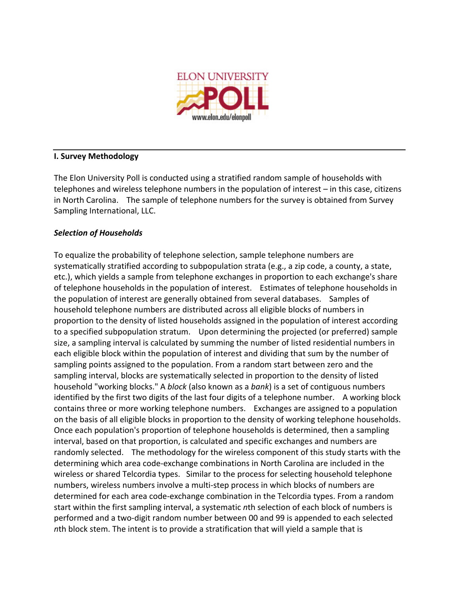

# **I.
Survey
Methodology**

The
Elon
University
Poll
is
conducted
using
a
stratified
random
sample
of
households
with telephones and wireless telephone numbers in the population of interest – in this case, citizens in North Carolina. The sample of telephone numbers for the survey is obtained from Survey Sampling
International,
LLC.

# *Selection
of
Households*

To
equalize
the
probability
of
telephone
selection,
sample
telephone
numbers
are systematically stratified according to subpopulation strata (e.g., a zip code, a county, a state, etc.),
which
yields
a
sample
from
telephone
exchanges
in
proportion
to
each
exchange's
share of telephone households in the population of interest. Estimates of telephone households in the
population
of
interest
are
generally
obtained
from
several
databases. Samples
of household telephone numbers are distributed across all eligible blocks of numbers in proportion to the density of listed households assigned in the population of interest according to a specified subpopulation stratum. Upon determining the projected (or preferred) sample size, a sampling interval is calculated by summing the number of listed residential numbers in each eligible block within the population of interest and dividing that sum by the number of sampling points assigned to the population. From a random start between zero and the sampling interval, blocks are systematically selected in proportion to the density of listed household "working blocks." A *block* (also known as a *bank*) is a set of contiguous numbers identified by the first two digits of the last four digits of a telephone number. A working block contains
three
or
more
working
telephone
numbers. Exchanges
are
assigned
to
a
population on the basis of all eligible blocks in proportion to the density of working telephone households. Once each population's proportion of telephone households is determined, then a sampling interval,
based
on
that
proportion,
is
calculated
and
specific
exchanges
and
numbers
are randomly selected. The methodology for the wireless component of this study starts with the determining which area code-exchange combinations in North Carolina are included in the wireless or shared Telcordia types. Similar to the process for selecting household telephone numbers, wireless numbers involve a multi-step process in which blocks of numbers are determined for each area code-exchange combination in the Telcordia types. From a random start within the first sampling interval, a systematic nth selection of each block of numbers is performed and a two-digit random number between 00 and 99 is appended to each selected nth block stem. The intent is to provide a stratification that will yield a sample that is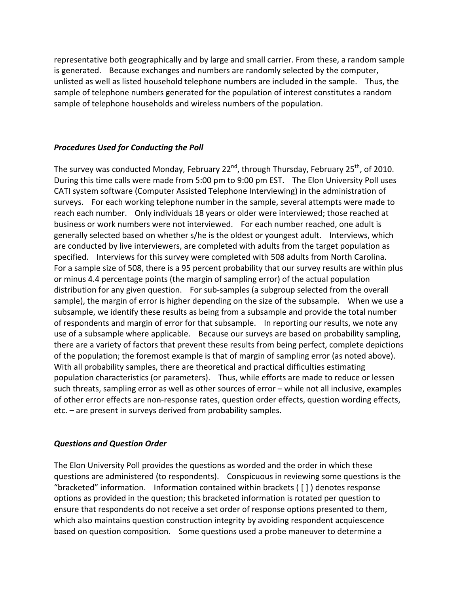representative
both
geographically
and
by
large
and
small
carrier. From
these,
a
random
sample is
generated. Because
exchanges
and
numbers
are
randomly
selected
by
the
computer, unlisted
as
well
as
listed
household
telephone
numbers
are
included
in
the
sample. Thus,
the sample of telephone numbers generated for the population of interest constitutes a random sample
of
telephone
households
and
wireless
numbers
of
the
population.

### *Procedures
Used
for
Conducting
the
Poll*

The survey was conducted Monday, February 22<sup>nd</sup>, through Thursday, February 25<sup>th</sup>, of 2010. During this time calls were made from 5:00 pm to 9:00 pm EST. The Elon University Poll uses CATI
system
software
(Computer
Assisted
Telephone
Interviewing)
in
the
administration
of surveys. For each working telephone number in the sample, several attempts were made to reach each number. Only individuals 18 years or older were interviewed; those reached at business
or
work
numbers
were
not
interviewed. For
each
number
reached,
one
adult
is generally
selected
based
on
whether
s/he
is
the
oldest
or
youngest
adult. Interviews,
which are conducted by live interviewers, are completed with adults from the target population as specified. Interviews for this survey were completed with 508 adults from North Carolina. For a sample size of 508, there is a 95 percent probability that our survey results are within plus or
minus
4.4 percentage
points
(the
margin
of
sampling
error)
of
the
actual
population distribution for any given question. For sub-samples (a subgroup selected from the overall sample), the margin of error is higher depending on the size of the subsample. When we use a subsample,
we
identify
these
results
as
being
from
a
subsample
and
provide
the
total
number of
respondents
and
margin
of
error
for
that
subsample. In
reporting
our
results,
we
note
any use of a subsample where applicable. Because our surveys are based on probability sampling, there are a variety of factors that prevent these results from being perfect, complete depictions of
the
population;
the
foremost
example
is
that
of
margin
of
sampling
error
(as
noted
above). With all probability samples, there are theoretical and practical difficulties estimating population
characteristics
(or
parameters). Thus,
while
efforts
are
made
to
reduce
or
lessen such threats, sampling error as well as other sources of error - while not all inclusive, examples of
other
error
effects
are
non‐response
rates,
question
order
effects,
question
wording
effects, etc.
–
are
present
in
surveys
derived
from
probability
samples.

#### *Questions
and
Question
Order*

The Elon University Poll provides the questions as worded and the order in which these questions
are
administered
(to
respondents). Conspicuous
in
reviewing
some
questions
is
the "bracketed" information. Information contained within brackets ([]) denotes response options
as
provided
in
the
question;
this
bracketed
information
is
rotated
per
question
to ensure that respondents do not receive a set order of response options presented to them, which also maintains question construction integrity by avoiding respondent acquiescence based on question composition. Some questions used a probe maneuver to determine a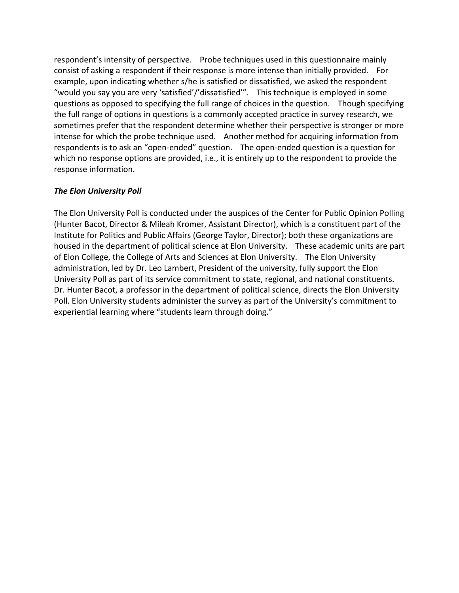respondent's intensity of perspective. Probe techniques used in this questionnaire mainly consist of asking a respondent if their response is more intense than initially provided. For example,
upon
indicating
whether
s/he
is
satisfied
or
dissatisfied,
we
asked
the
respondent "would you say you are very 'satisfied'/'dissatisfied'". This technique is employed in some questions as opposed to specifying the full range of choices in the question. Though specifying the
full
range
of
options
in
questions
is
a
commonly
accepted
practice
in
survey
research,
we sometimes
prefer
that
the
respondent
determine
whether
their
perspective
is
stronger
or
more intense for which the probe technique used. Another method for acquiring information from respondents is to ask an "open-ended" question. The open-ended question is a question for which no response options are provided, i.e., it is entirely up to the respondent to provide the response
information.

# *The
Elon
University
Poll*

The Elon University Poll is conducted under the auspices of the Center for Public Opinion Polling (Hunter
Bacot,
Director
&
Mileah
Kromer,
Assistant
Director),
which
is
a
constituent
part
of
the Institute for Politics and Public Affairs (George Taylor, Director); both these organizations are housed in the department of political science at Elon University. These academic units are part of
Elon
College,
the
College
of
Arts
and
Sciences
at
Elon
University. The
Elon
University administration, led by Dr. Leo Lambert, President of the university, fully support the Elon University Poll as part of its service commitment to state, regional, and national constituents. Dr.
Hunter
Bacot,
a
professor
in
the
department
of
political
science,
directs
the
Elon
University Poll. Elon University students administer the survey as part of the University's commitment to experiential
learning
where
"students
learn
through
doing."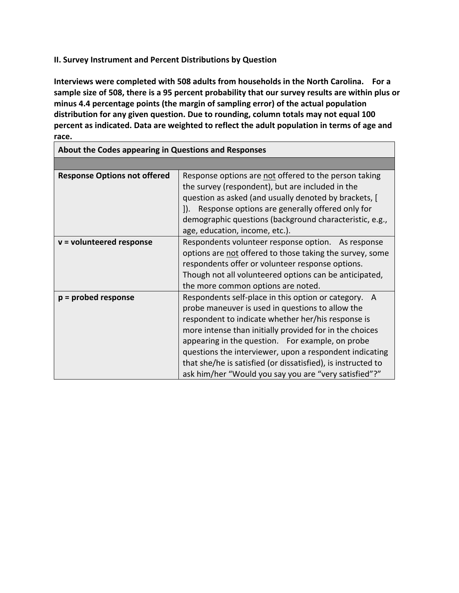# **II.
Survey
Instrument
and
Percent
Distributions
by
Question**

**Interviews
were
completed
with
508
adults
from
households
in
the
North
Carolina. For
a**  sample size of 508, there is a 95 percent probability that our survey results are within plus or minus 4.4 percentage points (the margin of sampling error) of the actual population distribution for any given question. Due to rounding, column totals may not equal 100 percent as indicated. Data are weighted to reflect the adult population in terms of age and **race.** 

| About the Codes appearing in Questions and Responses |                                                                                                                                                                                                                                                                                                                                                                                                                                                                      |  |  |
|------------------------------------------------------|----------------------------------------------------------------------------------------------------------------------------------------------------------------------------------------------------------------------------------------------------------------------------------------------------------------------------------------------------------------------------------------------------------------------------------------------------------------------|--|--|
|                                                      |                                                                                                                                                                                                                                                                                                                                                                                                                                                                      |  |  |
| <b>Response Options not offered</b>                  | Response options are not offered to the person taking<br>the survey (respondent), but are included in the<br>question as asked (and usually denoted by brackets, [<br>Response options are generally offered only for<br>$\mathbf{D}$ .<br>demographic questions (background characteristic, e.g.,<br>age, education, income, etc.).                                                                                                                                 |  |  |
| $v =$ volunteered response                           | Respondents volunteer response option. As response<br>options are not offered to those taking the survey, some<br>respondents offer or volunteer response options.<br>Though not all volunteered options can be anticipated,<br>the more common options are noted.                                                                                                                                                                                                   |  |  |
| $p =$ probed response                                | Respondents self-place in this option or category.<br>A<br>probe maneuver is used in questions to allow the<br>respondent to indicate whether her/his response is<br>more intense than initially provided for in the choices<br>appearing in the question. For example, on probe<br>questions the interviewer, upon a respondent indicating<br>that she/he is satisfied (or dissatisfied), is instructed to<br>ask him/her "Would you say you are "very satisfied"?" |  |  |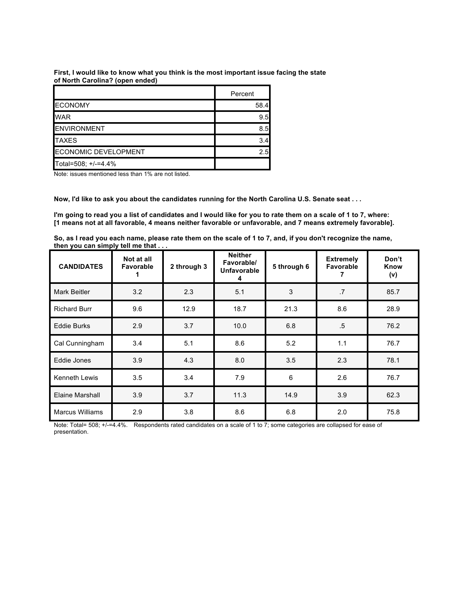**First, I would like to know what you think is the most important issue facing the state of North Carolina? (open ended)**

|                             | Percent |
|-----------------------------|---------|
| <b>ECONOMY</b>              | 58.4    |
| <b>WAR</b>                  | 9.5     |
| <b>ENVIRONMENT</b>          | 8.5     |
| <b>TAXES</b>                | 3.4     |
| <b>ECONOMIC DEVELOPMENT</b> | 2.5     |
| Total=508; +/-=4.4%         |         |

Note: issues mentioned less than 1% are not listed.

Now, I'd like to ask you about the candidates running for the North Carolina U.S. Senate seat . . .

I'm going to read you a list of candidates and I would like for you to rate them on a scale of 1 to 7, where: [1 means not at all favorable, 4 means neither favorable or unfavorable, and 7 means extremely favorable].

So, as I read you each name, please rate them on the scale of 1 to 7, and, if you don't recognize the name, **then you can simply tell me that . . .**

| <b>CANDIDATES</b>      | Not at all<br><b>Favorable</b> | 2 through 3 | <b>Neither</b><br>Favorable/<br><b>Unfavorable</b><br>4 | 5 through 6    | <b>Extremely</b><br><b>Favorable</b> | Don't<br>Know<br>(v) |
|------------------------|--------------------------------|-------------|---------------------------------------------------------|----------------|--------------------------------------|----------------------|
| <b>Mark Beitler</b>    | 3.2                            | 2.3         | 5.1                                                     | 3              | .7                                   | 85.7                 |
| <b>Richard Burr</b>    | 9.6                            | 12.9        | 18.7                                                    | 21.3           | 8.6                                  | 28.9                 |
| <b>Eddie Burks</b>     | 2.9                            | 3.7         | 10.0                                                    | 6.8            | $.5\,$                               | 76.2                 |
| Cal Cunningham         | 3.4                            | 5.1         | 8.6                                                     | 5.2            | 1.1                                  | 76.7                 |
| Eddie Jones            | 3.9                            | 4.3         | 8.0                                                     | 3.5            | 2.3                                  | 78.1                 |
| <b>Kenneth Lewis</b>   | 3.5                            | 3.4         | 7.9                                                     | $6\phantom{1}$ | 2.6                                  | 76.7                 |
| Elaine Marshall        | 3.9                            | 3.7         | 11.3                                                    | 14.9           | 3.9                                  | 62.3                 |
| <b>Marcus Williams</b> | 2.9                            | 3.8         | 8.6                                                     | 6.8            | 2.0                                  | 75.8                 |

Note: Total= 508; +/-=4.4%. Respondents rated candidates on a scale of 1 to 7; some categories are collapsed for ease of presentation.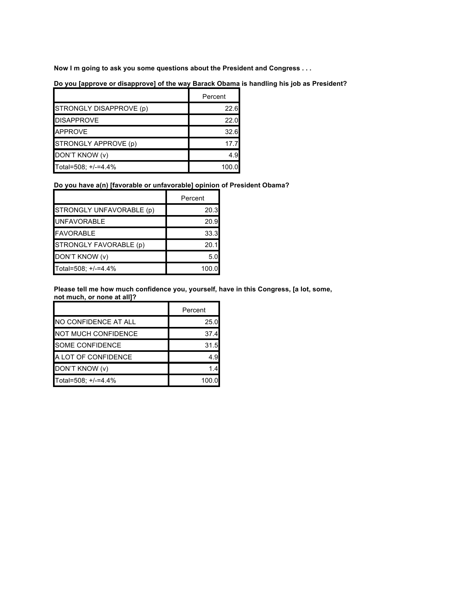**Now I m going to ask you some questions about the President and Congress . . .**

**Do you [approve or disapprove] of the way Barack Obama is handling his job as President?**

|                         | Percent |
|-------------------------|---------|
| STRONGLY DISAPPROVE (p) | 22.6    |
| <b>DISAPPROVE</b>       | 22.0    |
| <b>APPROVE</b>          | 32.6    |
| STRONGLY APPROVE (p)    | 17 7    |
| DON'T KNOW (v)          | 4.9     |
| Total=508; +/-=4.4%     | 100.0   |

# **Do you have a(n) [favorable or unfavorable] opinion of President Obama?**

|                          | Percent |
|--------------------------|---------|
| STRONGLY UNFAVORABLE (p) | 20.3    |
| <b>UNFAVORABLE</b>       | 20.9    |
| <b>FAVORABLE</b>         | 33.3    |
| STRONGLY FAVORABLE (p)   | 20.1    |
| DON'T KNOW (v)           | 5.0     |
| Total=508; +/-=4.4%      | 100.0   |

**Please tell me how much confidence you, yourself, have in this Congress, [a lot, some, not much, or none at all]?**

|                            | Percent |
|----------------------------|---------|
| NO CONFIDENCE AT ALL       | 25.0    |
| <b>NOT MUCH CONFIDENCE</b> | 37.4    |
| <b>SOME CONFIDENCE</b>     | 31.5    |
| A LOT OF CONFIDENCE        | 4.9     |
| DON'T KNOW (v)             | 1.4     |
| Total=508; +/-=4.4%        | 100.0   |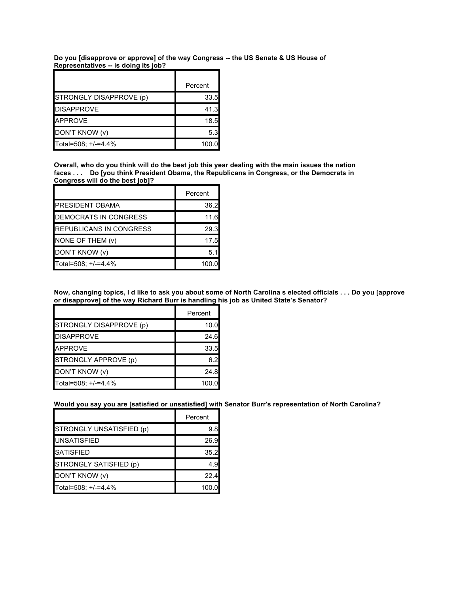**Do you [disapprove or approve] of the way Congress -- the US Senate & US House of Representatives -- is doing its job?**

|                         | Percent |
|-------------------------|---------|
| STRONGLY DISAPPROVE (p) | 33.5    |
| <b>DISAPPROVE</b>       | 41.3    |
| <b>APPROVE</b>          | 18.5    |
| DON'T KNOW (v)          | 5.3     |
| Total=508; +/-=4.4%     | 100.0   |

Overall, who do you think will do the best job this year dealing with the main issues the nation **faces . . . Do [you think President Obama, the Republicans in Congress, or the Democrats in Congress will do the best job]?**

|                                | Percent |
|--------------------------------|---------|
| <b>PRESIDENT OBAMA</b>         | 36.2    |
| <b>DEMOCRATS IN CONGRESS</b>   | 11.6    |
| <b>REPUBLICANS IN CONGRESS</b> | 29.3    |
| NONE OF THEM (v)               | 17.5    |
| DON'T KNOW (v)                 | 5.1     |
| Total=508; +/-=4.4%            | 100.0   |

Now, changing topics, I d like to ask you about some of North Carolina s elected officials . . . Do you [approve **or disapprove] of the way Richard Burr is handling his job as United State's Senator?**

|                         | Percent |
|-------------------------|---------|
| STRONGLY DISAPPROVE (p) | 10.0    |
| <b>DISAPPROVE</b>       | 24.6    |
| <b>APPROVE</b>          | 33.5    |
| STRONGLY APPROVE (p)    | 6.2     |
| DON'T KNOW (v)          | 24.8    |
| Total=508; +/-=4.4%     | 100.0   |

**Would you say you are [satisfied or unsatisfied] with Senator Burr's representation of North Carolina?**

|                          | Percent |
|--------------------------|---------|
| STRONGLY UNSATISFIED (p) | 9.8     |
| <b>UNSATISFIED</b>       | 26.9    |
| <b>SATISFIED</b>         | 35.2    |
| STRONGLY SATISFIED (p)   | 4.9     |
| DON'T KNOW (v)           | 22.4    |
| Total=508; +/-=4.4%      | 100.0   |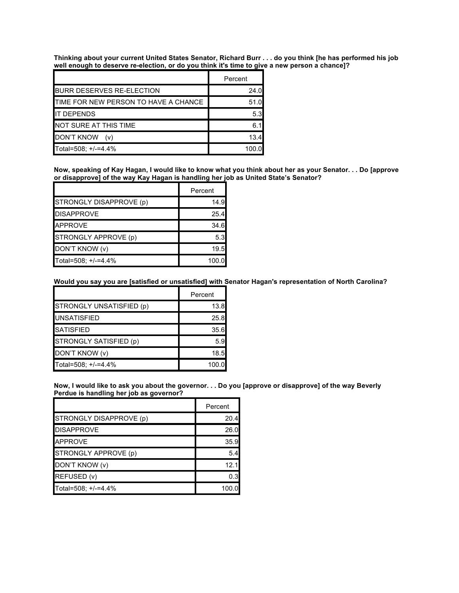Thinking about your current United States Senator, Richard Burr . . . do you think [he has performed his job **well enough to deserve re-election, or do you think it's time to give a new person a chance]?**

|                                      | Percent |
|--------------------------------------|---------|
| <b>BURR DESERVES RE-ELECTION</b>     | 24.0    |
| TIME FOR NEW PERSON TO HAVE A CHANCE | 51.0    |
| <b>IT DEPENDS</b>                    | 5.3     |
| NOT SURE AT THIS TIME                | 6.1     |
| <b>DON'T KNOW</b><br>(v)             | 13.4    |
| Total=508; +/-=4.4%                  | 100.0   |

Now, speaking of Kay Hagan, I would like to know what you think about her as your Senator. . . Do [approve **or disapprove] of the way Kay Hagan is handling her job as United State's Senator?**

|                         | Percent |
|-------------------------|---------|
| STRONGLY DISAPPROVE (p) | 14.9    |
| <b>DISAPPROVE</b>       | 25.4    |
| <b>APPROVE</b>          | 34.6    |
| STRONGLY APPROVE (p)    | 5.3     |
| DON'T KNOW (v)          | 19.5    |
| Total=508; +/-=4.4%     | 100.0   |

# **Would you say you are [satisfied or unsatisfied] with Senator Hagan's representation of North Carolina?**

|                          | Percent |
|--------------------------|---------|
| STRONGLY UNSATISFIED (p) | 13.8    |
| <b>UNSATISFIED</b>       | 25.8    |
| <b>SATISFIED</b>         | 35.6    |
| STRONGLY SATISFIED (p)   | 5.9     |
| DON'T KNOW (v)           | 18.5    |
| Total=508; +/-=4.4%      | 100.0   |

Now, I would like to ask you about the governor. . . Do you [approve or disapprove] of the way Beverly **Perdue is handling her job as governor?**

|                         | Percent |
|-------------------------|---------|
| STRONGLY DISAPPROVE (p) | 20.4    |
| <b>DISAPPROVE</b>       | 26.0    |
| <b>APPROVE</b>          | 35.9    |
| STRONGLY APPROVE (p)    | 5.4     |
| DON'T KNOW (v)          | 12.1    |
| REFUSED (v)             | 0.3     |
| Total=508; +/-=4.4%     | 100.0   |